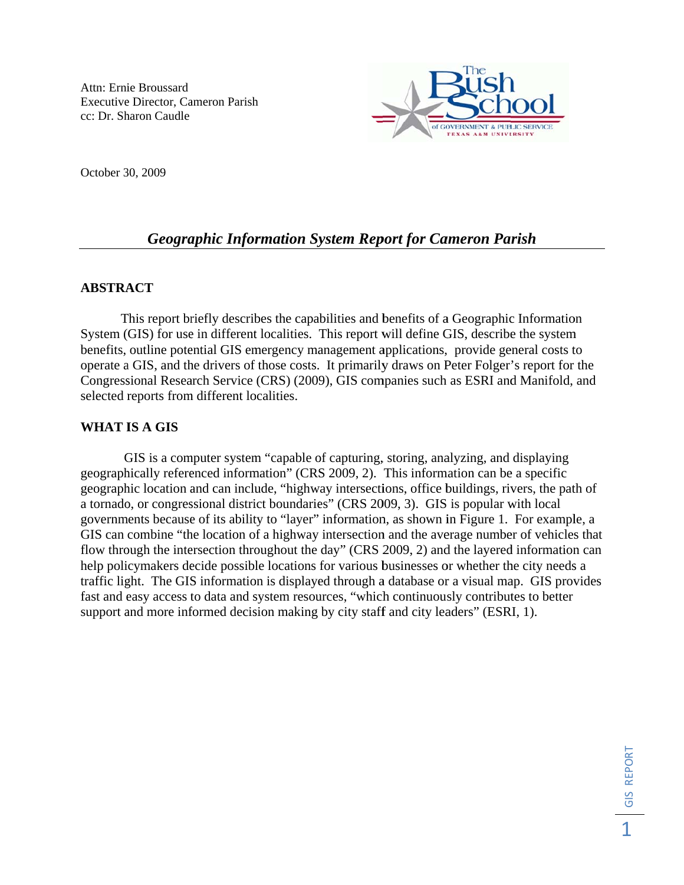

October 30, 2009

# **Geographic Information System Report for Cameron Parish**

# **ABSTRACT**

This report briefly describes the capabilities and benefits of a Geographic Information System (GIS) for use in different localities. This report will define GIS, describe the system benefits, outline potential GIS emergency management applications, provide general costs to operate a GIS, and the drivers of those costs. It primarily draws on Peter Folger's report for the Congressional Research Service (CRS) (2009), GIS companies such as ESRI and Manifold, and selected reports from different localities.

# **WHAT IS A GIS**

GIS is a computer system "capable of capturing, storing, analyzing, and displaying geographically referenced information" (CRS 2009, 2). This information can be a specific geographic location and can include, "highway intersections, office buildings, rivers, the path of a tornado, or congressional district boundaries" (CRS 2009, 3). GIS is popular with local governments because of its ability to "layer" information, as shown in Figure 1. For example, a GIS can combine "the location of a highway intersection and the average number of vehicles that flow through the intersection throughout the day" (CRS 2009, 2) and the layered information can help policymakers decide possible locations for various businesses or whether the city needs a traffic light. The GIS information is displayed through a database or a visual map. GIS provides fast and easy access to data and system resources, "which continuously contributes to better support and more informed decision making by city staff and city leaders" (ESRI, 1).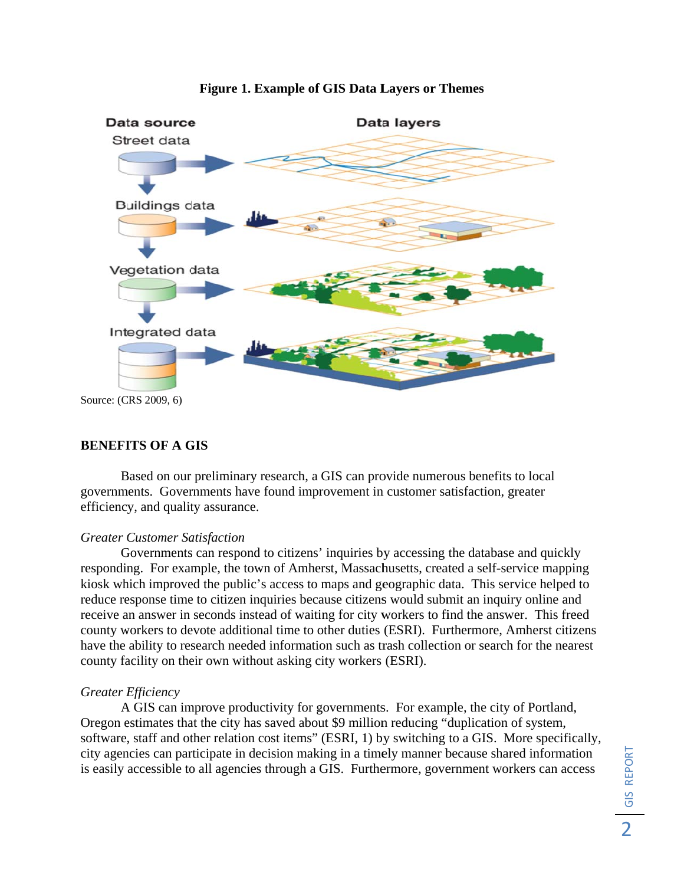

### Figure 1. Example of GIS Data Layers or Themes

## **BENEFITS OF A GIS**

Based on our preliminary research, a GIS can provide numerous benefits to local governments. Governments have found improvement in customer satisfaction, greater efficiency, and quality assurance.

#### **Greater Customer Satisfaction**

Governments can respond to citizens' inquiries by accessing the database and quickly responding. For example, the town of Amherst, Massachusetts, created a self-service mapping kiosk which improved the public's access to maps and geographic data. This service helped to reduce response time to citizen inquiries because citizens would submit an inquiry online and receive an answer in seconds instead of waiting for city workers to find the answer. This freed county workers to devote additional time to other duties (ESRI). Furthermore, Amherst citizens have the ability to research needed information such as trash collection or search for the nearest county facility on their own without asking city workers (ESRI).

## **Greater Efficiency**

A GIS can improve productivity for governments. For example, the city of Portland, Oregon estimates that the city has saved about \$9 million reducing "duplication of system, software, staff and other relation cost items" (ESRI, 1) by switching to a GIS. More specifically, city agencies can participate in decision making in a timely manner because shared information is easily accessible to all agencies through a GIS. Furthermore, government workers can access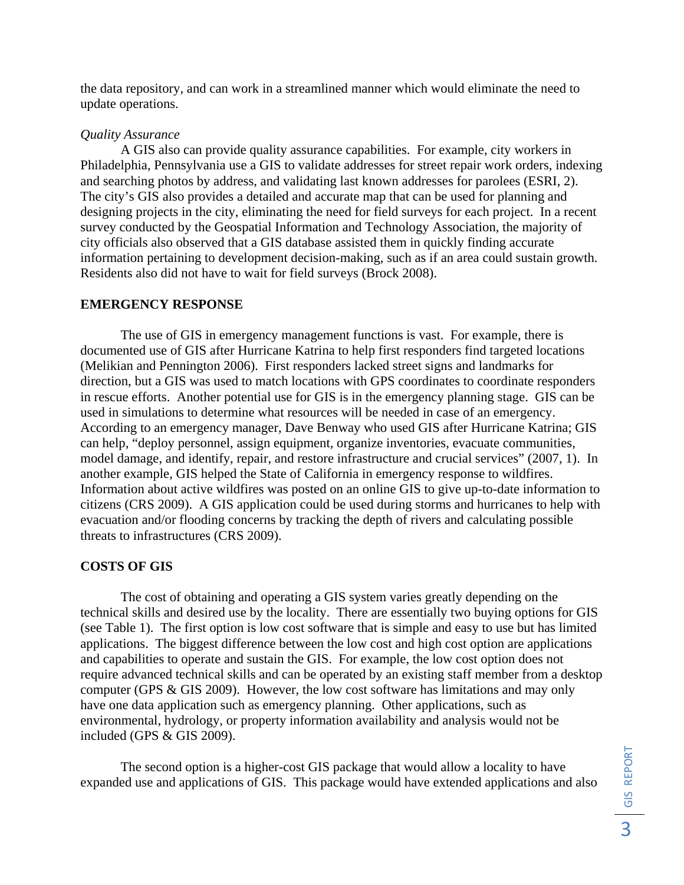the data repository, and can work in a streamlined manner which would eliminate the need to update operations.

### *Quality Assurance*

A GIS also can provide quality assurance capabilities. For example, city workers in Philadelphia, Pennsylvania use a GIS to validate addresses for street repair work orders, indexing and searching photos by address, and validating last known addresses for parolees (ESRI, 2). The city's GIS also provides a detailed and accurate map that can be used for planning and designing projects in the city, eliminating the need for field surveys for each project. In a recent survey conducted by the Geospatial Information and Technology Association, the majority of city officials also observed that a GIS database assisted them in quickly finding accurate information pertaining to development decision-making, such as if an area could sustain growth. Residents also did not have to wait for field surveys (Brock 2008).

#### **EMERGENCY RESPONSE**

The use of GIS in emergency management functions is vast. For example, there is documented use of GIS after Hurricane Katrina to help first responders find targeted locations (Melikian and Pennington 2006). First responders lacked street signs and landmarks for direction, but a GIS was used to match locations with GPS coordinates to coordinate responders in rescue efforts. Another potential use for GIS is in the emergency planning stage. GIS can be used in simulations to determine what resources will be needed in case of an emergency. According to an emergency manager, Dave Benway who used GIS after Hurricane Katrina; GIS can help, "deploy personnel, assign equipment, organize inventories, evacuate communities, model damage, and identify, repair, and restore infrastructure and crucial services" (2007, 1). In another example, GIS helped the State of California in emergency response to wildfires. Information about active wildfires was posted on an online GIS to give up-to-date information to citizens (CRS 2009). A GIS application could be used during storms and hurricanes to help with evacuation and/or flooding concerns by tracking the depth of rivers and calculating possible threats to infrastructures (CRS 2009).

#### **COSTS OF GIS**

The cost of obtaining and operating a GIS system varies greatly depending on the technical skills and desired use by the locality. There are essentially two buying options for GIS (see Table 1). The first option is low cost software that is simple and easy to use but has limited applications. The biggest difference between the low cost and high cost option are applications and capabilities to operate and sustain the GIS. For example, the low cost option does not require advanced technical skills and can be operated by an existing staff member from a desktop computer (GPS & GIS 2009). However, the low cost software has limitations and may only have one data application such as emergency planning. Other applications, such as environmental, hydrology, or property information availability and analysis would not be included (GPS & GIS 2009).

The second option is a higher-cost GIS package that would allow a locality to have expanded use and applications of GIS. This package would have extended applications and also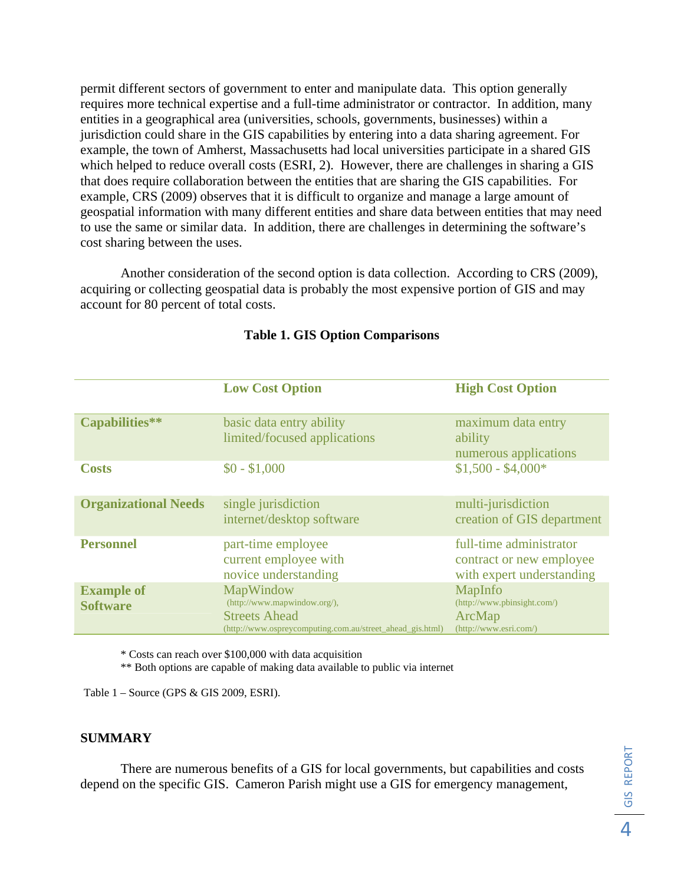permit different sectors of government to enter and manipulate data. This option generally requires more technical expertise and a full-time administrator or contractor. In addition, many entities in a geographical area (universities, schools, governments, businesses) within a jurisdiction could share in the GIS capabilities by entering into a data sharing agreement. For example, the town of Amherst, Massachusetts had local universities participate in a shared GIS which helped to reduce overall costs (ESRI, 2). However, there are challenges in sharing a GIS that does require collaboration between the entities that are sharing the GIS capabilities. For example, CRS (2009) observes that it is difficult to organize and manage a large amount of geospatial information with many different entities and share data between entities that may need to use the same or similar data. In addition, there are challenges in determining the software's cost sharing between the uses.

Another consideration of the second option is data collection. According to CRS (2009), acquiring or collecting geospatial data is probably the most expensive portion of GIS and may account for 80 percent of total costs.

|                                      | <b>Low Cost Option</b>                                                                                                         | <b>High Cost Option</b>                                                          |
|--------------------------------------|--------------------------------------------------------------------------------------------------------------------------------|----------------------------------------------------------------------------------|
| Capabilities**                       | basic data entry ability<br>limited/focused applications                                                                       | maximum data entry<br>ability<br>numerous applications                           |
| <b>Costs</b>                         | $$0 - $1,000$                                                                                                                  | $$1,500 - $4,000*$                                                               |
| <b>Organizational Needs</b>          | single jurisdiction<br>internet/desktop software                                                                               | multi-jurisdiction<br>creation of GIS department                                 |
| <b>Personnel</b>                     | part-time employee<br>current employee with<br>novice understanding                                                            | full-time administrator<br>contract or new employee<br>with expert understanding |
| <b>Example of</b><br><b>Software</b> | MapWindow<br>(http://www.mapwindow.org/),<br><b>Streets Ahead</b><br>(http://www.ospreycomputing.com.au/street_ahead_gis.html) | MapInfo<br>(http://www.pbinsight.com/)<br>ArcMap<br>(http://www.esri.com/)       |

## **Table 1. GIS Option Comparisons**

\* Costs can reach over \$100,000 with data acquisition

\*\* Both options are capable of making data available to public via internet

Table 1 – Source (GPS & GIS 2009, ESRI).

#### **SUMMARY**

 There are numerous benefits of a GIS for local governments, but capabilities and costs depend on the specific GIS. Cameron Parish might use a GIS for emergency management,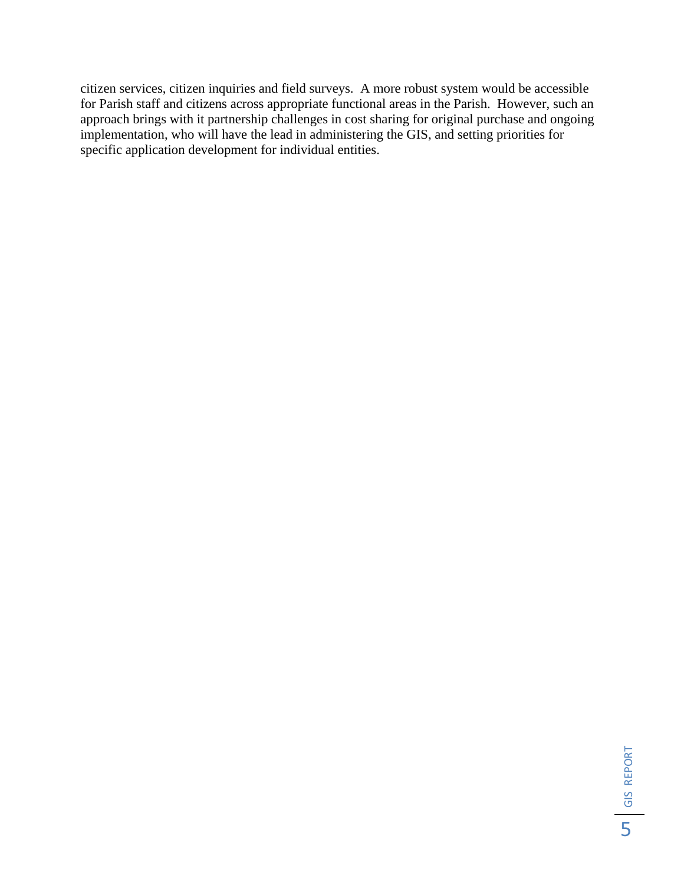citizen services, citizen inquiries and field surveys. A more robust system would be accessible for Parish staff and citizens across appropriate functional areas in the Parish. However, such an approach brings with it partnership challenges in cost sharing for original purchase and ongoing implementation, who will have the lead in administering the GIS, and setting priorities for specific application development for individual entities.